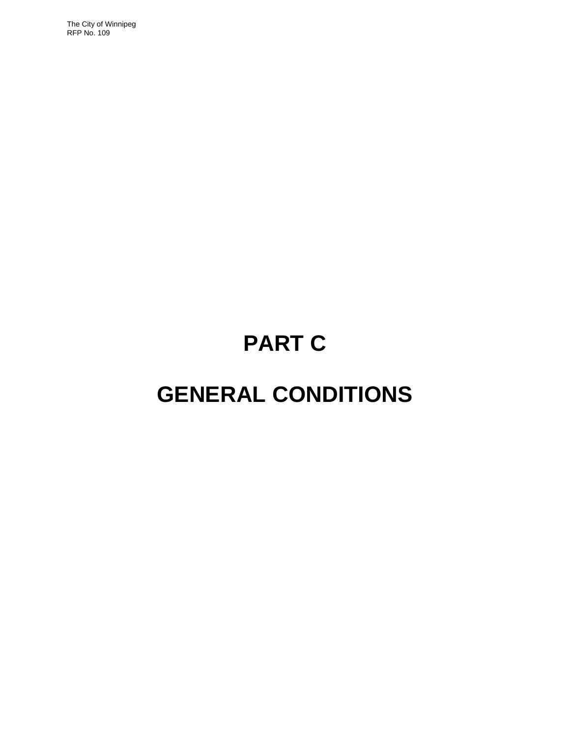The City of Winnipeg RFP No. 109

# **PART C**

## **GENERAL CONDITIONS**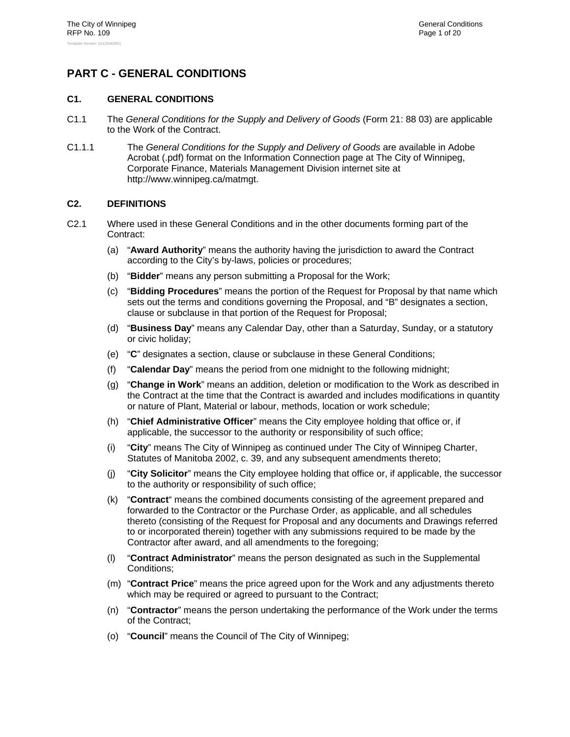## **PART C - GENERAL CONDITIONS**

## **C1. GENERAL CONDITIONS**

- C1.1 The *General Conditions for the Supply and Delivery of Goods* (Form 21: 88 03) are applicable to the Work of the Contract.
- C1.1.1 The *General Conditions for the Supply and Delivery of Goods* are available in Adobe Acrobat (.pdf) format on the Information Connection page at The City of Winnipeg, Corporate Finance, Materials Management Division internet site at http://www.winnipeg.ca/matmgt.

## **C2. DEFINITIONS**

- C2.1 Where used in these General Conditions and in the other documents forming part of the Contract:
	- (a) "**Award Authority**" means the authority having the jurisdiction to award the Contract according to the City's by-laws, policies or procedures;
	- (b) "**Bidder**" means any person submitting a Proposal for the Work;
	- (c) "**Bidding Procedures**" means the portion of the Request for Proposal by that name which sets out the terms and conditions governing the Proposal, and "B" designates a section, clause or subclause in that portion of the Request for Proposal;
	- (d) "**Business Day**" means any Calendar Day, other than a Saturday, Sunday, or a statutory or civic holiday;
	- (e) "**C**" designates a section, clause or subclause in these General Conditions;
	- (f) "**Calendar Day**" means the period from one midnight to the following midnight;
	- (g) "**Change in Work**" means an addition, deletion or modification to the Work as described in the Contract at the time that the Contract is awarded and includes modifications in quantity or nature of Plant, Material or labour, methods, location or work schedule;
	- (h) "**Chief Administrative Officer**" means the City employee holding that office or, if applicable, the successor to the authority or responsibility of such office;
	- (i) "**City**" means The City of Winnipeg as continued under The City of Winnipeg Charter, Statutes of Manitoba 2002, c. 39, and any subsequent amendments thereto;
	- (j) "**City Solicitor**" means the City employee holding that office or, if applicable, the successor to the authority or responsibility of such office;
	- (k) "**Contract**" means the combined documents consisting of the agreement prepared and forwarded to the Contractor or the Purchase Order, as applicable, and all schedules thereto (consisting of the Request for Proposal and any documents and Drawings referred to or incorporated therein) together with any submissions required to be made by the Contractor after award, and all amendments to the foregoing;
	- (l) "**Contract Administrator**" means the person designated as such in the Supplemental Conditions;
	- (m) "**Contract Price**" means the price agreed upon for the Work and any adjustments thereto which may be required or agreed to pursuant to the Contract;
	- (n) "**Contractor**" means the person undertaking the performance of the Work under the terms of the Contract;
	- (o) "**Council**" means the Council of The City of Winnipeg;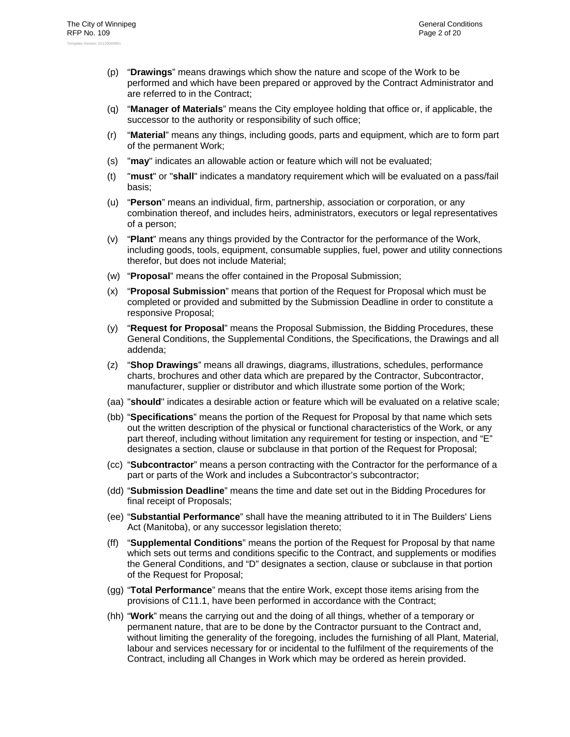- (p) "**Drawings**" means drawings which show the nature and scope of the Work to be performed and which have been prepared or approved by the Contract Administrator and are referred to in the Contract;
- (q) "**Manager of Materials**" means the City employee holding that office or, if applicable, the successor to the authority or responsibility of such office;
- (r) "**Material**" means any things, including goods, parts and equipment, which are to form part of the permanent Work;
- (s) "**may**" indicates an allowable action or feature which will not be evaluated;
- (t) "**must**" or "**shall**" indicates a mandatory requirement which will be evaluated on a pass/fail basis;
- (u) "**Person**" means an individual, firm, partnership, association or corporation, or any combination thereof, and includes heirs, administrators, executors or legal representatives of a person;
- (v) "**Plant**" means any things provided by the Contractor for the performance of the Work, including goods, tools, equipment, consumable supplies, fuel, power and utility connections therefor, but does not include Material;
- (w) "**Proposal**" means the offer contained in the Proposal Submission;
- (x) "**Proposal Submission**" means that portion of the Request for Proposal which must be completed or provided and submitted by the Submission Deadline in order to constitute a responsive Proposal;
- (y) "**Request for Proposal**" means the Proposal Submission, the Bidding Procedures, these General Conditions, the Supplemental Conditions, the Specifications, the Drawings and all addenda;
- (z) "**Shop Drawings**" means all drawings, diagrams, illustrations, schedules, performance charts, brochures and other data which are prepared by the Contractor, Subcontractor, manufacturer, supplier or distributor and which illustrate some portion of the Work;
- (aa) "**should**" indicates a desirable action or feature which will be evaluated on a relative scale;
- (bb) "**Specifications**" means the portion of the Request for Proposal by that name which sets out the written description of the physical or functional characteristics of the Work, or any part thereof, including without limitation any requirement for testing or inspection, and "E" designates a section, clause or subclause in that portion of the Request for Proposal;
- (cc) "**Subcontractor**" means a person contracting with the Contractor for the performance of a part or parts of the Work and includes a Subcontractor's subcontractor;
- (dd) "**Submission Deadline**" means the time and date set out in the Bidding Procedures for final receipt of Proposals;
- (ee) "**Substantial Performance**" shall have the meaning attributed to it in The Builders' Liens Act (Manitoba), or any successor legislation thereto;
- (ff) "**Supplemental Conditions**" means the portion of the Request for Proposal by that name which sets out terms and conditions specific to the Contract, and supplements or modifies the General Conditions, and "D" designates a section, clause or subclause in that portion of the Request for Proposal;
- (gg) "**Total Performance**" means that the entire Work, except those items arising from the provisions of C11.1, have been performed in accordance with the Contract;
- (hh) "**Work**" means the carrying out and the doing of all things, whether of a temporary or permanent nature, that are to be done by the Contractor pursuant to the Contract and, without limiting the generality of the foregoing, includes the furnishing of all Plant, Material, labour and services necessary for or incidental to the fulfilment of the requirements of the Contract, including all Changes in Work which may be ordered as herein provided.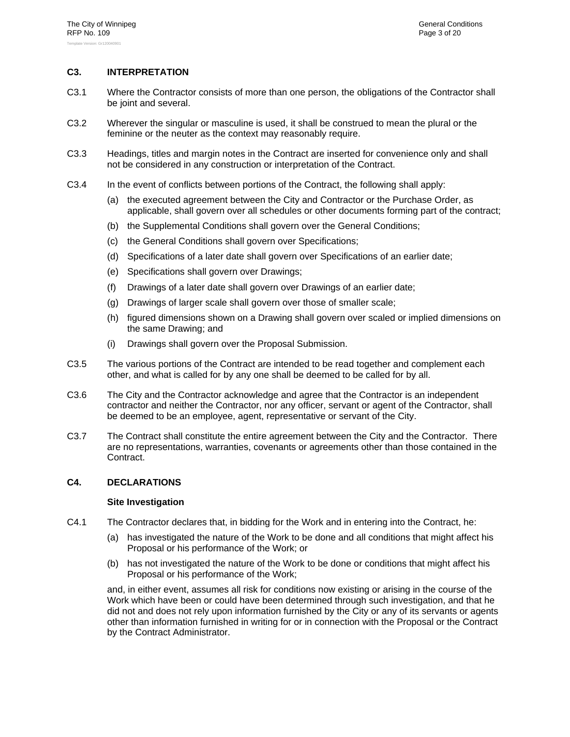## **C3. INTERPRETATION**

- C3.1 Where the Contractor consists of more than one person, the obligations of the Contractor shall be joint and several.
- C3.2 Wherever the singular or masculine is used, it shall be construed to mean the plural or the feminine or the neuter as the context may reasonably require.
- C3.3 Headings, titles and margin notes in the Contract are inserted for convenience only and shall not be considered in any construction or interpretation of the Contract.
- C3.4 In the event of conflicts between portions of the Contract, the following shall apply:
	- (a) the executed agreement between the City and Contractor or the Purchase Order, as applicable, shall govern over all schedules or other documents forming part of the contract;
	- (b) the Supplemental Conditions shall govern over the General Conditions;
	- (c) the General Conditions shall govern over Specifications;
	- (d) Specifications of a later date shall govern over Specifications of an earlier date;
	- (e) Specifications shall govern over Drawings;
	- (f) Drawings of a later date shall govern over Drawings of an earlier date;
	- (g) Drawings of larger scale shall govern over those of smaller scale;
	- (h) figured dimensions shown on a Drawing shall govern over scaled or implied dimensions on the same Drawing; and
	- (i) Drawings shall govern over the Proposal Submission.
- C3.5 The various portions of the Contract are intended to be read together and complement each other, and what is called for by any one shall be deemed to be called for by all.
- C3.6 The City and the Contractor acknowledge and agree that the Contractor is an independent contractor and neither the Contractor, nor any officer, servant or agent of the Contractor, shall be deemed to be an employee, agent, representative or servant of the City.
- C3.7 The Contract shall constitute the entire agreement between the City and the Contractor. There are no representations, warranties, covenants or agreements other than those contained in the Contract.

#### **C4. DECLARATIONS**

#### **Site Investigation**

- C4.1 The Contractor declares that, in bidding for the Work and in entering into the Contract, he:
	- (a) has investigated the nature of the Work to be done and all conditions that might affect his Proposal or his performance of the Work; or
	- (b) has not investigated the nature of the Work to be done or conditions that might affect his Proposal or his performance of the Work;

and, in either event, assumes all risk for conditions now existing or arising in the course of the Work which have been or could have been determined through such investigation, and that he did not and does not rely upon information furnished by the City or any of its servants or agents other than information furnished in writing for or in connection with the Proposal or the Contract by the Contract Administrator.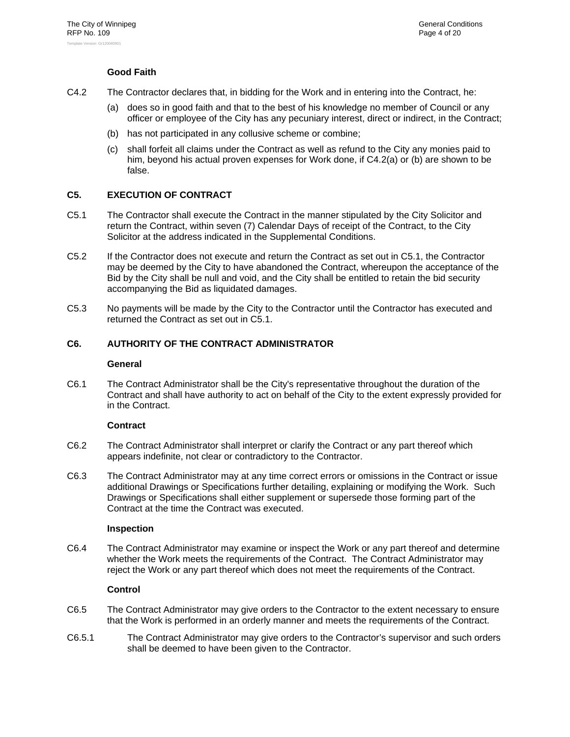## **Good Faith**

- C4.2 The Contractor declares that, in bidding for the Work and in entering into the Contract, he:
	- (a) does so in good faith and that to the best of his knowledge no member of Council or any officer or employee of the City has any pecuniary interest, direct or indirect, in the Contract;
	- (b) has not participated in any collusive scheme or combine;
	- (c) shall forfeit all claims under the Contract as well as refund to the City any monies paid to him, beyond his actual proven expenses for Work done, if C4.2(a) or (b) are shown to be false.

## **C5. EXECUTION OF CONTRACT**

- C5.1 The Contractor shall execute the Contract in the manner stipulated by the City Solicitor and return the Contract, within seven (7) Calendar Days of receipt of the Contract, to the City Solicitor at the address indicated in the Supplemental Conditions.
- C5.2 If the Contractor does not execute and return the Contract as set out in C5.1, the Contractor may be deemed by the City to have abandoned the Contract, whereupon the acceptance of the Bid by the City shall be null and void, and the City shall be entitled to retain the bid security accompanying the Bid as liquidated damages.
- C5.3 No payments will be made by the City to the Contractor until the Contractor has executed and returned the Contract as set out in C5.1.

## **C6. AUTHORITY OF THE CONTRACT ADMINISTRATOR**

#### **General**

C6.1 The Contract Administrator shall be the City's representative throughout the duration of the Contract and shall have authority to act on behalf of the City to the extent expressly provided for in the Contract.

## **Contract**

- C6.2 The Contract Administrator shall interpret or clarify the Contract or any part thereof which appears indefinite, not clear or contradictory to the Contractor.
- C6.3 The Contract Administrator may at any time correct errors or omissions in the Contract or issue additional Drawings or Specifications further detailing, explaining or modifying the Work. Such Drawings or Specifications shall either supplement or supersede those forming part of the Contract at the time the Contract was executed.

#### **Inspection**

C6.4 The Contract Administrator may examine or inspect the Work or any part thereof and determine whether the Work meets the requirements of the Contract. The Contract Administrator may reject the Work or any part thereof which does not meet the requirements of the Contract.

## **Control**

- C6.5 The Contract Administrator may give orders to the Contractor to the extent necessary to ensure that the Work is performed in an orderly manner and meets the requirements of the Contract.
- C6.5.1 The Contract Administrator may give orders to the Contractor's supervisor and such orders shall be deemed to have been given to the Contractor.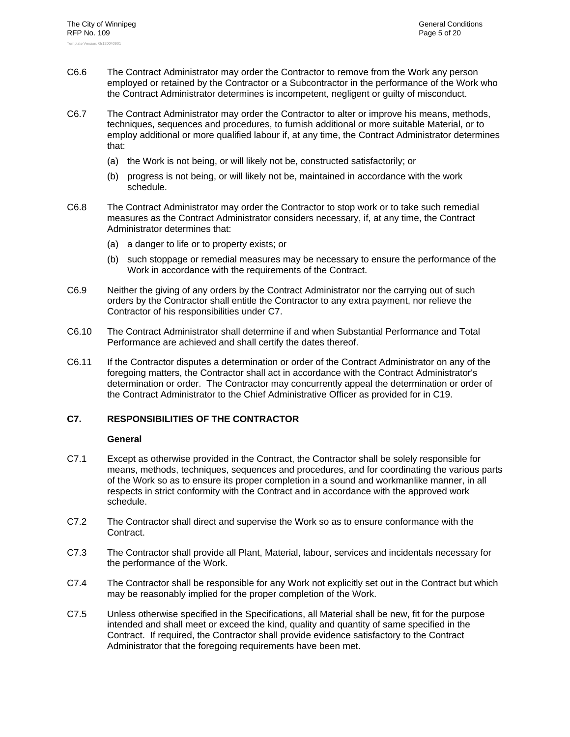- C6.6 The Contract Administrator may order the Contractor to remove from the Work any person employed or retained by the Contractor or a Subcontractor in the performance of the Work who the Contract Administrator determines is incompetent, negligent or guilty of misconduct.
- C6.7 The Contract Administrator may order the Contractor to alter or improve his means, methods, techniques, sequences and procedures, to furnish additional or more suitable Material, or to employ additional or more qualified labour if, at any time, the Contract Administrator determines that:
	- (a) the Work is not being, or will likely not be, constructed satisfactorily; or
	- (b) progress is not being, or will likely not be, maintained in accordance with the work schedule.
- C6.8 The Contract Administrator may order the Contractor to stop work or to take such remedial measures as the Contract Administrator considers necessary, if, at any time, the Contract Administrator determines that:
	- (a) a danger to life or to property exists; or
	- (b) such stoppage or remedial measures may be necessary to ensure the performance of the Work in accordance with the requirements of the Contract.
- C6.9 Neither the giving of any orders by the Contract Administrator nor the carrying out of such orders by the Contractor shall entitle the Contractor to any extra payment, nor relieve the Contractor of his responsibilities under C7.
- C6.10 The Contract Administrator shall determine if and when Substantial Performance and Total Performance are achieved and shall certify the dates thereof.
- C6.11 If the Contractor disputes a determination or order of the Contract Administrator on any of the foregoing matters, the Contractor shall act in accordance with the Contract Administrator's determination or order. The Contractor may concurrently appeal the determination or order of the Contract Administrator to the Chief Administrative Officer as provided for in C19.

#### **C7. RESPONSIBILITIES OF THE CONTRACTOR**

#### **General**

- C7.1 Except as otherwise provided in the Contract, the Contractor shall be solely responsible for means, methods, techniques, sequences and procedures, and for coordinating the various parts of the Work so as to ensure its proper completion in a sound and workmanlike manner, in all respects in strict conformity with the Contract and in accordance with the approved work schedule.
- C7.2 The Contractor shall direct and supervise the Work so as to ensure conformance with the Contract.
- C7.3 The Contractor shall provide all Plant, Material, labour, services and incidentals necessary for the performance of the Work.
- C7.4 The Contractor shall be responsible for any Work not explicitly set out in the Contract but which may be reasonably implied for the proper completion of the Work.
- C7.5 Unless otherwise specified in the Specifications, all Material shall be new, fit for the purpose intended and shall meet or exceed the kind, quality and quantity of same specified in the Contract. If required, the Contractor shall provide evidence satisfactory to the Contract Administrator that the foregoing requirements have been met.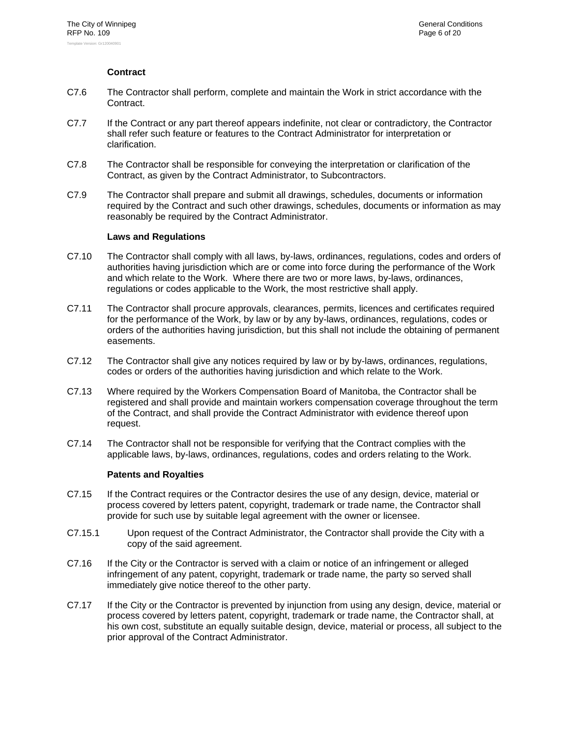## **Contract**

- C7.6 The Contractor shall perform, complete and maintain the Work in strict accordance with the Contract.
- C7.7 If the Contract or any part thereof appears indefinite, not clear or contradictory, the Contractor shall refer such feature or features to the Contract Administrator for interpretation or clarification.
- C7.8 The Contractor shall be responsible for conveying the interpretation or clarification of the Contract, as given by the Contract Administrator, to Subcontractors.
- C7.9 The Contractor shall prepare and submit all drawings, schedules, documents or information required by the Contract and such other drawings, schedules, documents or information as may reasonably be required by the Contract Administrator.

## **Laws and Regulations**

- C7.10 The Contractor shall comply with all laws, by-laws, ordinances, regulations, codes and orders of authorities having jurisdiction which are or come into force during the performance of the Work and which relate to the Work. Where there are two or more laws, by-laws, ordinances, regulations or codes applicable to the Work, the most restrictive shall apply.
- C7.11 The Contractor shall procure approvals, clearances, permits, licences and certificates required for the performance of the Work, by law or by any by-laws, ordinances, regulations, codes or orders of the authorities having jurisdiction, but this shall not include the obtaining of permanent easements.
- C7.12 The Contractor shall give any notices required by law or by by-laws, ordinances, regulations, codes or orders of the authorities having jurisdiction and which relate to the Work.
- C7.13 Where required by the Workers Compensation Board of Manitoba, the Contractor shall be registered and shall provide and maintain workers compensation coverage throughout the term of the Contract, and shall provide the Contract Administrator with evidence thereof upon request.
- C7.14 The Contractor shall not be responsible for verifying that the Contract complies with the applicable laws, by-laws, ordinances, regulations, codes and orders relating to the Work.

#### **Patents and Royalties**

- C7.15 If the Contract requires or the Contractor desires the use of any design, device, material or process covered by letters patent, copyright, trademark or trade name, the Contractor shall provide for such use by suitable legal agreement with the owner or licensee.
- C7.15.1 Upon request of the Contract Administrator, the Contractor shall provide the City with a copy of the said agreement.
- C7.16 If the City or the Contractor is served with a claim or notice of an infringement or alleged infringement of any patent, copyright, trademark or trade name, the party so served shall immediately give notice thereof to the other party.
- C7.17 If the City or the Contractor is prevented by injunction from using any design, device, material or process covered by letters patent, copyright, trademark or trade name, the Contractor shall, at his own cost, substitute an equally suitable design, device, material or process, all subject to the prior approval of the Contract Administrator.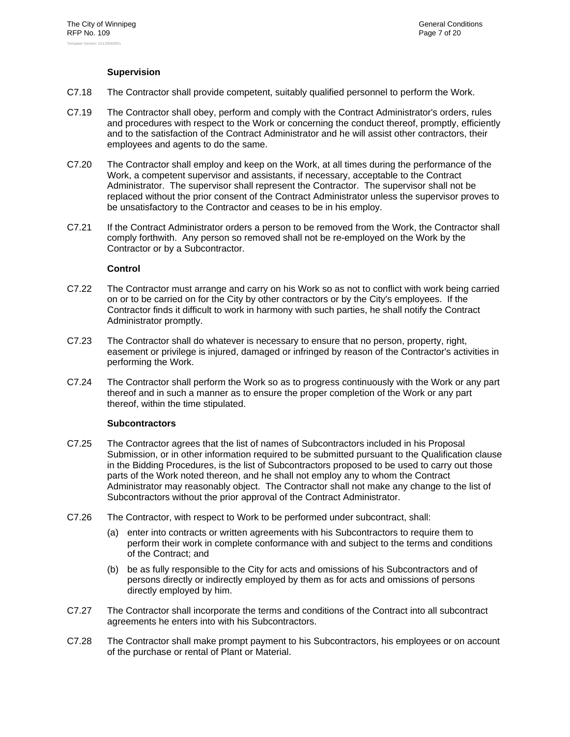## **Supervision**

- C7.18 The Contractor shall provide competent, suitably qualified personnel to perform the Work.
- C7.19 The Contractor shall obey, perform and comply with the Contract Administrator's orders, rules and procedures with respect to the Work or concerning the conduct thereof, promptly, efficiently and to the satisfaction of the Contract Administrator and he will assist other contractors, their employees and agents to do the same.
- C7.20 The Contractor shall employ and keep on the Work, at all times during the performance of the Work, a competent supervisor and assistants, if necessary, acceptable to the Contract Administrator. The supervisor shall represent the Contractor. The supervisor shall not be replaced without the prior consent of the Contract Administrator unless the supervisor proves to be unsatisfactory to the Contractor and ceases to be in his employ.
- C7.21 If the Contract Administrator orders a person to be removed from the Work, the Contractor shall comply forthwith. Any person so removed shall not be re-employed on the Work by the Contractor or by a Subcontractor.

## **Control**

- C7.22 The Contractor must arrange and carry on his Work so as not to conflict with work being carried on or to be carried on for the City by other contractors or by the City's employees. If the Contractor finds it difficult to work in harmony with such parties, he shall notify the Contract Administrator promptly.
- C7.23 The Contractor shall do whatever is necessary to ensure that no person, property, right, easement or privilege is injured, damaged or infringed by reason of the Contractor's activities in performing the Work.
- C7.24 The Contractor shall perform the Work so as to progress continuously with the Work or any part thereof and in such a manner as to ensure the proper completion of the Work or any part thereof, within the time stipulated.

## **Subcontractors**

- C7.25 The Contractor agrees that the list of names of Subcontractors included in his Proposal Submission, or in other information required to be submitted pursuant to the Qualification clause in the Bidding Procedures, is the list of Subcontractors proposed to be used to carry out those parts of the Work noted thereon, and he shall not employ any to whom the Contract Administrator may reasonably object. The Contractor shall not make any change to the list of Subcontractors without the prior approval of the Contract Administrator.
- C7.26 The Contractor, with respect to Work to be performed under subcontract, shall:
	- (a) enter into contracts or written agreements with his Subcontractors to require them to perform their work in complete conformance with and subject to the terms and conditions of the Contract; and
	- (b) be as fully responsible to the City for acts and omissions of his Subcontractors and of persons directly or indirectly employed by them as for acts and omissions of persons directly employed by him.
- C7.27 The Contractor shall incorporate the terms and conditions of the Contract into all subcontract agreements he enters into with his Subcontractors.
- C7.28 The Contractor shall make prompt payment to his Subcontractors, his employees or on account of the purchase or rental of Plant or Material.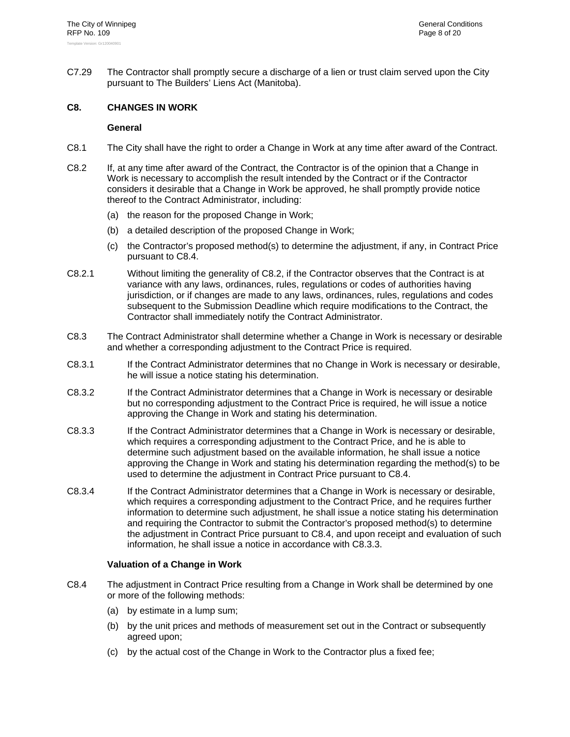C7.29 The Contractor shall promptly secure a discharge of a lien or trust claim served upon the City pursuant to The Builders' Liens Act (Manitoba).

## **C8. CHANGES IN WORK**

#### **General**

- C8.1 The City shall have the right to order a Change in Work at any time after award of the Contract.
- C8.2 If, at any time after award of the Contract, the Contractor is of the opinion that a Change in Work is necessary to accomplish the result intended by the Contract or if the Contractor considers it desirable that a Change in Work be approved, he shall promptly provide notice thereof to the Contract Administrator, including:
	- (a) the reason for the proposed Change in Work;
	- (b) a detailed description of the proposed Change in Work;
	- (c) the Contractor's proposed method(s) to determine the adjustment, if any, in Contract Price pursuant to C8.4.
- C8.2.1 Without limiting the generality of C8.2, if the Contractor observes that the Contract is at variance with any laws, ordinances, rules, regulations or codes of authorities having jurisdiction, or if changes are made to any laws, ordinances, rules, regulations and codes subsequent to the Submission Deadline which require modifications to the Contract, the Contractor shall immediately notify the Contract Administrator.
- C8.3 The Contract Administrator shall determine whether a Change in Work is necessary or desirable and whether a corresponding adjustment to the Contract Price is required.
- C8.3.1 If the Contract Administrator determines that no Change in Work is necessary or desirable, he will issue a notice stating his determination.
- C8.3.2 If the Contract Administrator determines that a Change in Work is necessary or desirable but no corresponding adjustment to the Contract Price is required, he will issue a notice approving the Change in Work and stating his determination.
- C8.3.3 If the Contract Administrator determines that a Change in Work is necessary or desirable, which requires a corresponding adjustment to the Contract Price, and he is able to determine such adjustment based on the available information, he shall issue a notice approving the Change in Work and stating his determination regarding the method(s) to be used to determine the adjustment in Contract Price pursuant to C8.4.
- C8.3.4 If the Contract Administrator determines that a Change in Work is necessary or desirable, which requires a corresponding adjustment to the Contract Price, and he requires further information to determine such adjustment, he shall issue a notice stating his determination and requiring the Contractor to submit the Contractor's proposed method(s) to determine the adjustment in Contract Price pursuant to C8.4, and upon receipt and evaluation of such information, he shall issue a notice in accordance with C8.3.3.

## **Valuation of a Change in Work**

- C8.4 The adjustment in Contract Price resulting from a Change in Work shall be determined by one or more of the following methods:
	- (a) by estimate in a lump sum;
	- (b) by the unit prices and methods of measurement set out in the Contract or subsequently agreed upon;
	- (c) by the actual cost of the Change in Work to the Contractor plus a fixed fee;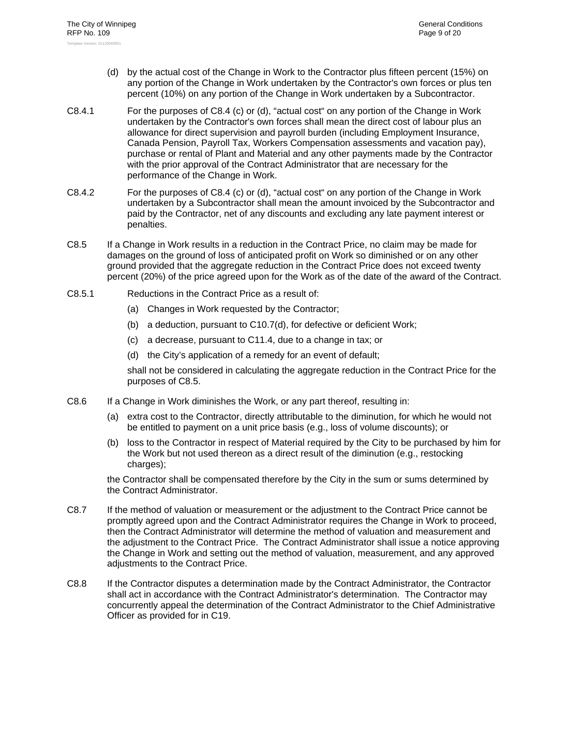- (d) by the actual cost of the Change in Work to the Contractor plus fifteen percent (15%) on any portion of the Change in Work undertaken by the Contractor's own forces or plus ten percent (10%) on any portion of the Change in Work undertaken by a Subcontractor.
- C8.4.1 For the purposes of C8.4 (c) or (d), "actual cost" on any portion of the Change in Work undertaken by the Contractor's own forces shall mean the direct cost of labour plus an allowance for direct supervision and payroll burden (including Employment Insurance, Canada Pension, Payroll Tax, Workers Compensation assessments and vacation pay), purchase or rental of Plant and Material and any other payments made by the Contractor with the prior approval of the Contract Administrator that are necessary for the performance of the Change in Work.
- C8.4.2 For the purposes of C8.4 (c) or (d), "actual cost" on any portion of the Change in Work undertaken by a Subcontractor shall mean the amount invoiced by the Subcontractor and paid by the Contractor, net of any discounts and excluding any late payment interest or penalties.
- C8.5 If a Change in Work results in a reduction in the Contract Price, no claim may be made for damages on the ground of loss of anticipated profit on Work so diminished or on any other ground provided that the aggregate reduction in the Contract Price does not exceed twenty percent (20%) of the price agreed upon for the Work as of the date of the award of the Contract.
- C8.5.1 Reductions in the Contract Price as a result of:
	- (a) Changes in Work requested by the Contractor;
	- (b) a deduction, pursuant to C10.7(d), for defective or deficient Work;
	- (c) a decrease, pursuant to C11.4, due to a change in tax; or
	- (d) the City's application of a remedy for an event of default;

shall not be considered in calculating the aggregate reduction in the Contract Price for the purposes of C8.5.

- C8.6 If a Change in Work diminishes the Work, or any part thereof, resulting in:
	- (a) extra cost to the Contractor, directly attributable to the diminution, for which he would not be entitled to payment on a unit price basis (e.g., loss of volume discounts); or
	- (b) loss to the Contractor in respect of Material required by the City to be purchased by him for the Work but not used thereon as a direct result of the diminution (e.g., restocking charges);

the Contractor shall be compensated therefore by the City in the sum or sums determined by the Contract Administrator.

- C8.7 If the method of valuation or measurement or the adjustment to the Contract Price cannot be promptly agreed upon and the Contract Administrator requires the Change in Work to proceed, then the Contract Administrator will determine the method of valuation and measurement and the adjustment to the Contract Price. The Contract Administrator shall issue a notice approving the Change in Work and setting out the method of valuation, measurement, and any approved adjustments to the Contract Price.
- C8.8 If the Contractor disputes a determination made by the Contract Administrator, the Contractor shall act in accordance with the Contract Administrator's determination. The Contractor may concurrently appeal the determination of the Contract Administrator to the Chief Administrative Officer as provided for in C19.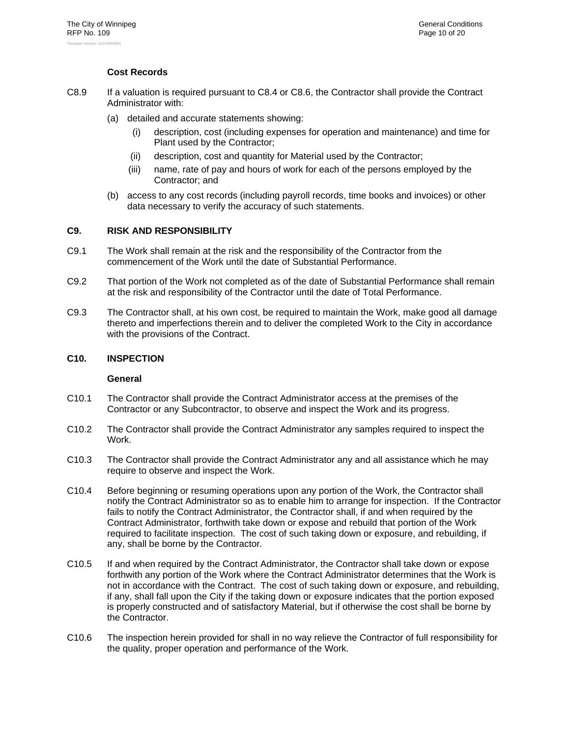## **Cost Records**

- C8.9 If a valuation is required pursuant to C8.4 or C8.6, the Contractor shall provide the Contract Administrator with:
	- (a) detailed and accurate statements showing:
		- description, cost (including expenses for operation and maintenance) and time for Plant used by the Contractor;
		- (ii) description, cost and quantity for Material used by the Contractor;
		- (iii) name, rate of pay and hours of work for each of the persons employed by the Contractor; and
	- (b) access to any cost records (including payroll records, time books and invoices) or other data necessary to verify the accuracy of such statements.

#### **C9. RISK AND RESPONSIBILITY**

- C9.1 The Work shall remain at the risk and the responsibility of the Contractor from the commencement of the Work until the date of Substantial Performance.
- C9.2 That portion of the Work not completed as of the date of Substantial Performance shall remain at the risk and responsibility of the Contractor until the date of Total Performance.
- C9.3 The Contractor shall, at his own cost, be required to maintain the Work, make good all damage thereto and imperfections therein and to deliver the completed Work to the City in accordance with the provisions of the Contract.

## **C10. INSPECTION**

#### **General**

- C10.1 The Contractor shall provide the Contract Administrator access at the premises of the Contractor or any Subcontractor, to observe and inspect the Work and its progress.
- C10.2 The Contractor shall provide the Contract Administrator any samples required to inspect the Work.
- C10.3 The Contractor shall provide the Contract Administrator any and all assistance which he may require to observe and inspect the Work.
- C10.4 Before beginning or resuming operations upon any portion of the Work, the Contractor shall notify the Contract Administrator so as to enable him to arrange for inspection. If the Contractor fails to notify the Contract Administrator, the Contractor shall, if and when required by the Contract Administrator, forthwith take down or expose and rebuild that portion of the Work required to facilitate inspection. The cost of such taking down or exposure, and rebuilding, if any, shall be borne by the Contractor.
- C10.5 If and when required by the Contract Administrator, the Contractor shall take down or expose forthwith any portion of the Work where the Contract Administrator determines that the Work is not in accordance with the Contract. The cost of such taking down or exposure, and rebuilding, if any, shall fall upon the City if the taking down or exposure indicates that the portion exposed is properly constructed and of satisfactory Material, but if otherwise the cost shall be borne by the Contractor.
- C10.6 The inspection herein provided for shall in no way relieve the Contractor of full responsibility for the quality, proper operation and performance of the Work.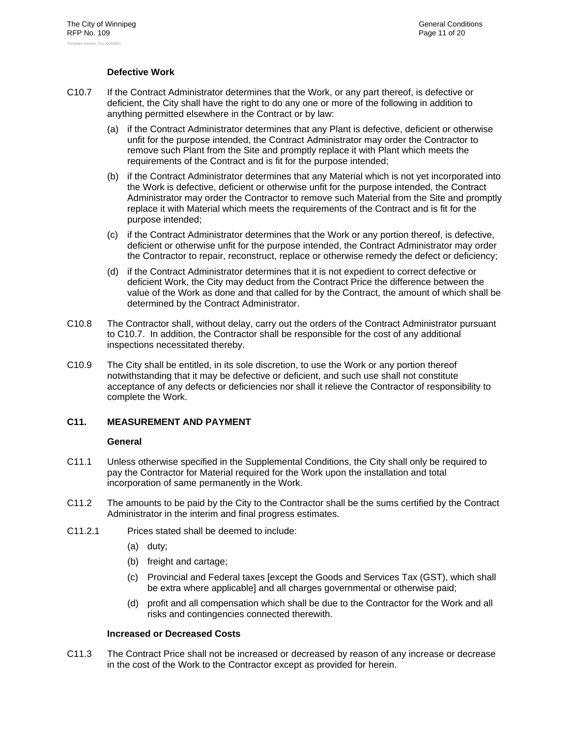## **Defective Work**

- C10.7 If the Contract Administrator determines that the Work, or any part thereof, is defective or deficient, the City shall have the right to do any one or more of the following in addition to anything permitted elsewhere in the Contract or by law:
	- (a) if the Contract Administrator determines that any Plant is defective, deficient or otherwise unfit for the purpose intended, the Contract Administrator may order the Contractor to remove such Plant from the Site and promptly replace it with Plant which meets the requirements of the Contract and is fit for the purpose intended;
	- (b) if the Contract Administrator determines that any Material which is not yet incorporated into the Work is defective, deficient or otherwise unfit for the purpose intended, the Contract Administrator may order the Contractor to remove such Material from the Site and promptly replace it with Material which meets the requirements of the Contract and is fit for the purpose intended;
	- (c) if the Contract Administrator determines that the Work or any portion thereof, is defective, deficient or otherwise unfit for the purpose intended, the Contract Administrator may order the Contractor to repair, reconstruct, replace or otherwise remedy the defect or deficiency;
	- (d) if the Contract Administrator determines that it is not expedient to correct defective or deficient Work, the City may deduct from the Contract Price the difference between the value of the Work as done and that called for by the Contract, the amount of which shall be determined by the Contract Administrator.
- C10.8 The Contractor shall, without delay, carry out the orders of the Contract Administrator pursuant to C10.7. In addition, the Contractor shall be responsible for the cost of any additional inspections necessitated thereby.
- C10.9 The City shall be entitled, in its sole discretion, to use the Work or any portion thereof notwithstanding that it may be defective or deficient, and such use shall not constitute acceptance of any defects or deficiencies nor shall it relieve the Contractor of responsibility to complete the Work.

## **C11. MEASUREMENT AND PAYMENT**

#### **General**

- C11.1 Unless otherwise specified in the Supplemental Conditions, the City shall only be required to pay the Contractor for Material required for the Work upon the installation and total incorporation of same permanently in the Work.
- C11.2 The amounts to be paid by the City to the Contractor shall be the sums certified by the Contract Administrator in the interim and final progress estimates.
- C11.2.1 Prices stated shall be deemed to include:
	- (a) duty;
	- (b) freight and cartage;
	- (c) Provincial and Federal taxes [except the Goods and Services Tax (GST), which shall be extra where applicable] and all charges governmental or otherwise paid;
	- (d) profit and all compensation which shall be due to the Contractor for the Work and all risks and contingencies connected therewith.

#### **Increased or Decreased Costs**

C11.3 The Contract Price shall not be increased or decreased by reason of any increase or decrease in the cost of the Work to the Contractor except as provided for herein.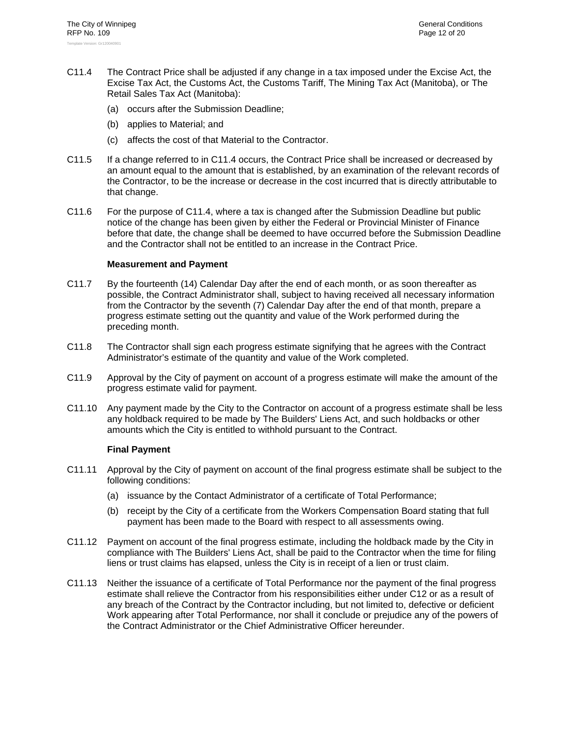- C11.4 The Contract Price shall be adjusted if any change in a tax imposed under the Excise Act, the Excise Tax Act, the Customs Act, the Customs Tariff, The Mining Tax Act (Manitoba), or The Retail Sales Tax Act (Manitoba):
	- (a) occurs after the Submission Deadline;
	- (b) applies to Material; and
	- (c) affects the cost of that Material to the Contractor.
- C11.5 If a change referred to in C11.4 occurs, the Contract Price shall be increased or decreased by an amount equal to the amount that is established, by an examination of the relevant records of the Contractor, to be the increase or decrease in the cost incurred that is directly attributable to that change.
- C11.6 For the purpose of C11.4, where a tax is changed after the Submission Deadline but public notice of the change has been given by either the Federal or Provincial Minister of Finance before that date, the change shall be deemed to have occurred before the Submission Deadline and the Contractor shall not be entitled to an increase in the Contract Price.

#### **Measurement and Payment**

- C11.7 By the fourteenth (14) Calendar Day after the end of each month, or as soon thereafter as possible, the Contract Administrator shall, subject to having received all necessary information from the Contractor by the seventh (7) Calendar Day after the end of that month, prepare a progress estimate setting out the quantity and value of the Work performed during the preceding month.
- C11.8 The Contractor shall sign each progress estimate signifying that he agrees with the Contract Administrator's estimate of the quantity and value of the Work completed.
- C11.9 Approval by the City of payment on account of a progress estimate will make the amount of the progress estimate valid for payment.
- C11.10 Any payment made by the City to the Contractor on account of a progress estimate shall be less any holdback required to be made by The Builders' Liens Act, and such holdbacks or other amounts which the City is entitled to withhold pursuant to the Contract.

#### **Final Payment**

- C11.11 Approval by the City of payment on account of the final progress estimate shall be subject to the following conditions:
	- (a) issuance by the Contact Administrator of a certificate of Total Performance;
	- (b) receipt by the City of a certificate from the Workers Compensation Board stating that full payment has been made to the Board with respect to all assessments owing.
- C11.12 Payment on account of the final progress estimate, including the holdback made by the City in compliance with The Builders' Liens Act, shall be paid to the Contractor when the time for filing liens or trust claims has elapsed, unless the City is in receipt of a lien or trust claim.
- C11.13 Neither the issuance of a certificate of Total Performance nor the payment of the final progress estimate shall relieve the Contractor from his responsibilities either under C12 or as a result of any breach of the Contract by the Contractor including, but not limited to, defective or deficient Work appearing after Total Performance, nor shall it conclude or prejudice any of the powers of the Contract Administrator or the Chief Administrative Officer hereunder.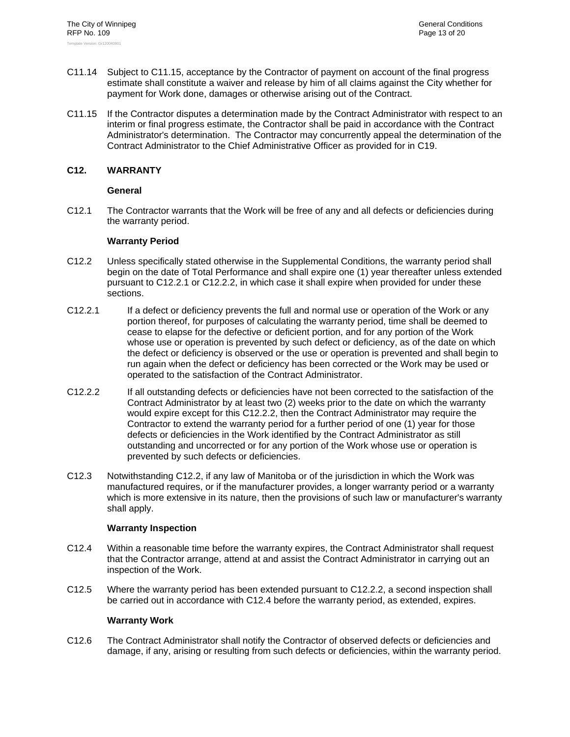- C11.14 Subject to C11.15, acceptance by the Contractor of payment on account of the final progress estimate shall constitute a waiver and release by him of all claims against the City whether for payment for Work done, damages or otherwise arising out of the Contract.
- C11.15 If the Contractor disputes a determination made by the Contract Administrator with respect to an interim or final progress estimate, the Contractor shall be paid in accordance with the Contract Administrator's determination. The Contractor may concurrently appeal the determination of the Contract Administrator to the Chief Administrative Officer as provided for in C19.

## **C12. WARRANTY**

## **General**

C12.1 The Contractor warrants that the Work will be free of any and all defects or deficiencies during the warranty period.

## **Warranty Period**

- C12.2 Unless specifically stated otherwise in the Supplemental Conditions, the warranty period shall begin on the date of Total Performance and shall expire one (1) year thereafter unless extended pursuant to C12.2.1 or C12.2.2, in which case it shall expire when provided for under these sections.
- C12.2.1 If a defect or deficiency prevents the full and normal use or operation of the Work or any portion thereof, for purposes of calculating the warranty period, time shall be deemed to cease to elapse for the defective or deficient portion, and for any portion of the Work whose use or operation is prevented by such defect or deficiency, as of the date on which the defect or deficiency is observed or the use or operation is prevented and shall begin to run again when the defect or deficiency has been corrected or the Work may be used or operated to the satisfaction of the Contract Administrator.
- C12.2.2 If all outstanding defects or deficiencies have not been corrected to the satisfaction of the Contract Administrator by at least two (2) weeks prior to the date on which the warranty would expire except for this C12.2.2, then the Contract Administrator may require the Contractor to extend the warranty period for a further period of one (1) year for those defects or deficiencies in the Work identified by the Contract Administrator as still outstanding and uncorrected or for any portion of the Work whose use or operation is prevented by such defects or deficiencies.
- C12.3 Notwithstanding C12.2, if any law of Manitoba or of the jurisdiction in which the Work was manufactured requires, or if the manufacturer provides, a longer warranty period or a warranty which is more extensive in its nature, then the provisions of such law or manufacturer's warranty shall apply.

#### **Warranty Inspection**

- C12.4 Within a reasonable time before the warranty expires, the Contract Administrator shall request that the Contractor arrange, attend at and assist the Contract Administrator in carrying out an inspection of the Work.
- C12.5 Where the warranty period has been extended pursuant to C12.2.2, a second inspection shall be carried out in accordance with C12.4 before the warranty period, as extended, expires.

#### **Warranty Work**

C12.6 The Contract Administrator shall notify the Contractor of observed defects or deficiencies and damage, if any, arising or resulting from such defects or deficiencies, within the warranty period.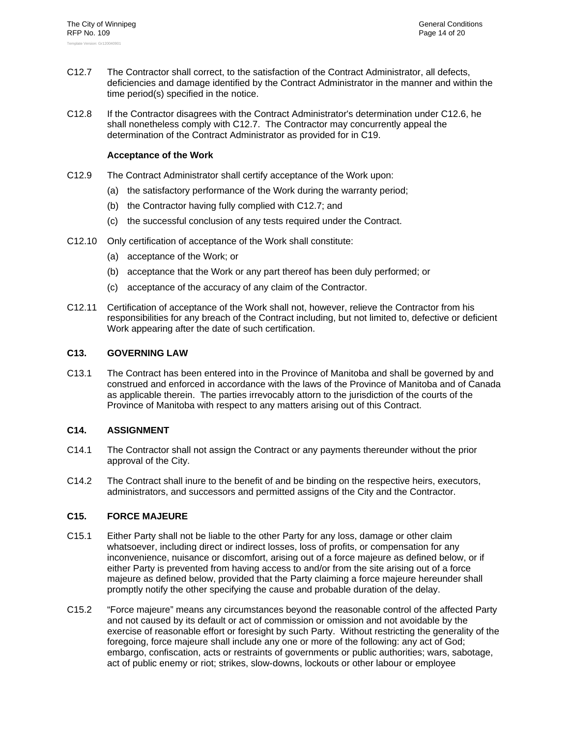- C12.7 The Contractor shall correct, to the satisfaction of the Contract Administrator, all defects, deficiencies and damage identified by the Contract Administrator in the manner and within the time period(s) specified in the notice.
- C12.8 If the Contractor disagrees with the Contract Administrator's determination under C12.6, he shall nonetheless comply with C12.7. The Contractor may concurrently appeal the determination of the Contract Administrator as provided for in C19.

#### **Acceptance of the Work**

- C12.9 The Contract Administrator shall certify acceptance of the Work upon:
	- (a) the satisfactory performance of the Work during the warranty period;
	- (b) the Contractor having fully complied with C12.7; and
	- (c) the successful conclusion of any tests required under the Contract.
- C12.10 Only certification of acceptance of the Work shall constitute:
	- (a) acceptance of the Work; or
	- (b) acceptance that the Work or any part thereof has been duly performed; or
	- (c) acceptance of the accuracy of any claim of the Contractor.
- C12.11 Certification of acceptance of the Work shall not, however, relieve the Contractor from his responsibilities for any breach of the Contract including, but not limited to, defective or deficient Work appearing after the date of such certification.

## **C13. GOVERNING LAW**

C13.1 The Contract has been entered into in the Province of Manitoba and shall be governed by and construed and enforced in accordance with the laws of the Province of Manitoba and of Canada as applicable therein. The parties irrevocably attorn to the jurisdiction of the courts of the Province of Manitoba with respect to any matters arising out of this Contract.

## **C14. ASSIGNMENT**

- C14.1 The Contractor shall not assign the Contract or any payments thereunder without the prior approval of the City.
- C14.2 The Contract shall inure to the benefit of and be binding on the respective heirs, executors, administrators, and successors and permitted assigns of the City and the Contractor.

## **C15. FORCE MAJEURE**

- C15.1 Either Party shall not be liable to the other Party for any loss, damage or other claim whatsoever, including direct or indirect losses, loss of profits, or compensation for any inconvenience, nuisance or discomfort, arising out of a force majeure as defined below, or if either Party is prevented from having access to and/or from the site arising out of a force majeure as defined below, provided that the Party claiming a force majeure hereunder shall promptly notify the other specifying the cause and probable duration of the delay.
- C15.2 "Force majeure" means any circumstances beyond the reasonable control of the affected Party and not caused by its default or act of commission or omission and not avoidable by the exercise of reasonable effort or foresight by such Party. Without restricting the generality of the foregoing, force majeure shall include any one or more of the following: any act of God; embargo, confiscation, acts or restraints of governments or public authorities; wars, sabotage, act of public enemy or riot; strikes, slow-downs, lockouts or other labour or employee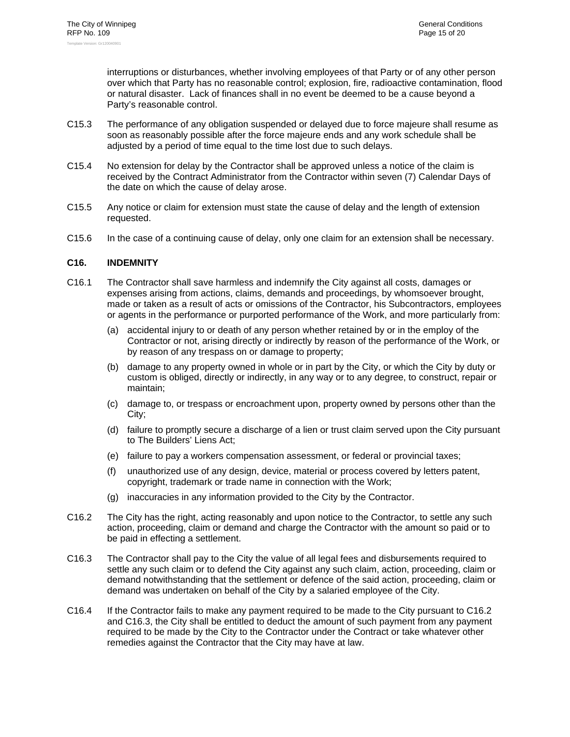interruptions or disturbances, whether involving employees of that Party or of any other person over which that Party has no reasonable control; explosion, fire, radioactive contamination, flood or natural disaster. Lack of finances shall in no event be deemed to be a cause beyond a Party's reasonable control.

- C15.3 The performance of any obligation suspended or delayed due to force majeure shall resume as soon as reasonably possible after the force majeure ends and any work schedule shall be adjusted by a period of time equal to the time lost due to such delays.
- C15.4 No extension for delay by the Contractor shall be approved unless a notice of the claim is received by the Contract Administrator from the Contractor within seven (7) Calendar Days of the date on which the cause of delay arose.
- C15.5 Any notice or claim for extension must state the cause of delay and the length of extension requested.
- C15.6 In the case of a continuing cause of delay, only one claim for an extension shall be necessary.

#### **C16. INDEMNITY**

- C16.1 The Contractor shall save harmless and indemnify the City against all costs, damages or expenses arising from actions, claims, demands and proceedings, by whomsoever brought, made or taken as a result of acts or omissions of the Contractor, his Subcontractors, employees or agents in the performance or purported performance of the Work, and more particularly from:
	- (a) accidental injury to or death of any person whether retained by or in the employ of the Contractor or not, arising directly or indirectly by reason of the performance of the Work, or by reason of any trespass on or damage to property;
	- (b) damage to any property owned in whole or in part by the City, or which the City by duty or custom is obliged, directly or indirectly, in any way or to any degree, to construct, repair or maintain;
	- (c) damage to, or trespass or encroachment upon, property owned by persons other than the City;
	- (d) failure to promptly secure a discharge of a lien or trust claim served upon the City pursuant to The Builders' Liens Act;
	- (e) failure to pay a workers compensation assessment, or federal or provincial taxes;
	- (f) unauthorized use of any design, device, material or process covered by letters patent, copyright, trademark or trade name in connection with the Work;
	- (g) inaccuracies in any information provided to the City by the Contractor.
- C16.2 The City has the right, acting reasonably and upon notice to the Contractor, to settle any such action, proceeding, claim or demand and charge the Contractor with the amount so paid or to be paid in effecting a settlement.
- C16.3 The Contractor shall pay to the City the value of all legal fees and disbursements required to settle any such claim or to defend the City against any such claim, action, proceeding, claim or demand notwithstanding that the settlement or defence of the said action, proceeding, claim or demand was undertaken on behalf of the City by a salaried employee of the City.
- C16.4 If the Contractor fails to make any payment required to be made to the City pursuant to C16.2 and C16.3, the City shall be entitled to deduct the amount of such payment from any payment required to be made by the City to the Contractor under the Contract or take whatever other remedies against the Contractor that the City may have at law.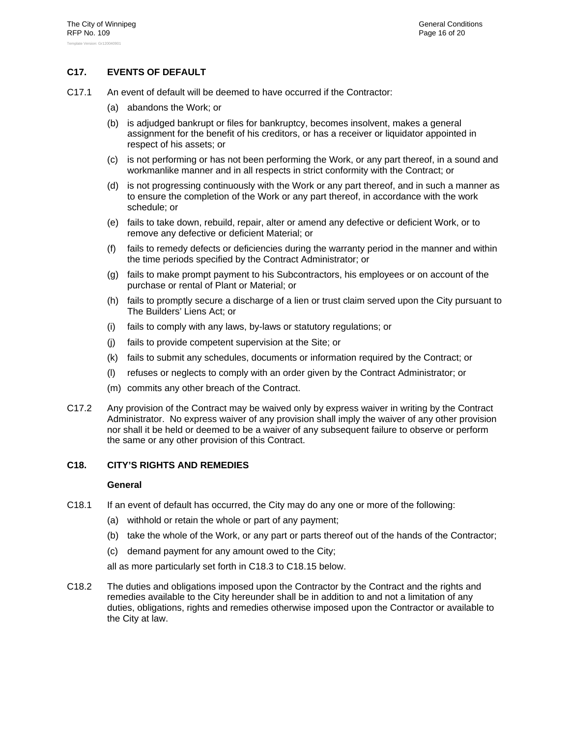## **C17. EVENTS OF DEFAULT**

- C17.1 An event of default will be deemed to have occurred if the Contractor:
	- (a) abandons the Work; or
	- (b) is adjudged bankrupt or files for bankruptcy, becomes insolvent, makes a general assignment for the benefit of his creditors, or has a receiver or liquidator appointed in respect of his assets; or
	- (c) is not performing or has not been performing the Work, or any part thereof, in a sound and workmanlike manner and in all respects in strict conformity with the Contract; or
	- (d) is not progressing continuously with the Work or any part thereof, and in such a manner as to ensure the completion of the Work or any part thereof, in accordance with the work schedule; or
	- (e) fails to take down, rebuild, repair, alter or amend any defective or deficient Work, or to remove any defective or deficient Material; or
	- (f) fails to remedy defects or deficiencies during the warranty period in the manner and within the time periods specified by the Contract Administrator; or
	- (g) fails to make prompt payment to his Subcontractors, his employees or on account of the purchase or rental of Plant or Material; or
	- (h) fails to promptly secure a discharge of a lien or trust claim served upon the City pursuant to The Builders' Liens Act; or
	- (i) fails to comply with any laws, by-laws or statutory regulations; or
	- (j) fails to provide competent supervision at the Site; or
	- (k) fails to submit any schedules, documents or information required by the Contract; or
	- (l) refuses or neglects to comply with an order given by the Contract Administrator; or
	- (m) commits any other breach of the Contract.
- C17.2 Any provision of the Contract may be waived only by express waiver in writing by the Contract Administrator. No express waiver of any provision shall imply the waiver of any other provision nor shall it be held or deemed to be a waiver of any subsequent failure to observe or perform the same or any other provision of this Contract.

#### **C18. CITY'S RIGHTS AND REMEDIES**

#### **General**

- C18.1 If an event of default has occurred, the City may do any one or more of the following:
	- (a) withhold or retain the whole or part of any payment;
	- (b) take the whole of the Work, or any part or parts thereof out of the hands of the Contractor;
	- (c) demand payment for any amount owed to the City;

all as more particularly set forth in C18.3 to C18.15 below.

C18.2 The duties and obligations imposed upon the Contractor by the Contract and the rights and remedies available to the City hereunder shall be in addition to and not a limitation of any duties, obligations, rights and remedies otherwise imposed upon the Contractor or available to the City at law.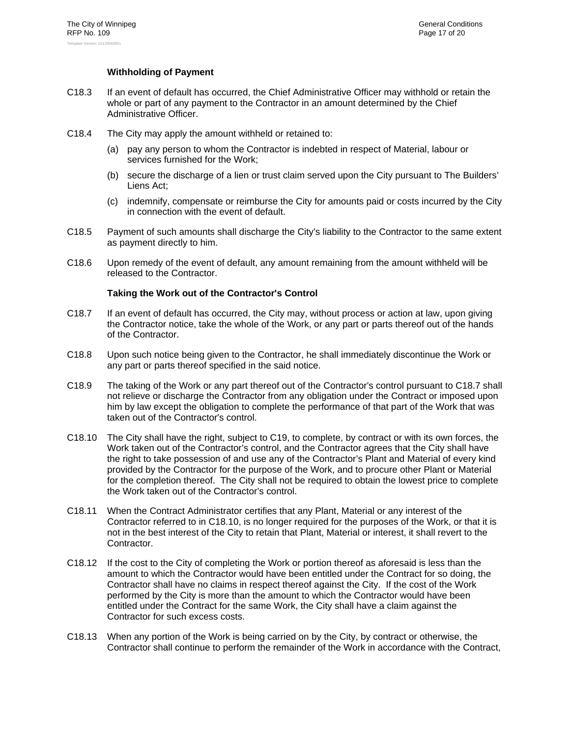## **Withholding of Payment**

- C18.3 If an event of default has occurred, the Chief Administrative Officer may withhold or retain the whole or part of any payment to the Contractor in an amount determined by the Chief Administrative Officer.
- C18.4 The City may apply the amount withheld or retained to:
	- (a) pay any person to whom the Contractor is indebted in respect of Material, labour or services furnished for the Work;
	- (b) secure the discharge of a lien or trust claim served upon the City pursuant to The Builders' Liens Act;
	- (c) indemnify, compensate or reimburse the City for amounts paid or costs incurred by the City in connection with the event of default.
- C18.5 Payment of such amounts shall discharge the City's liability to the Contractor to the same extent as payment directly to him.
- C18.6 Upon remedy of the event of default, any amount remaining from the amount withheld will be released to the Contractor.

#### **Taking the Work out of the Contractor's Control**

- C18.7 If an event of default has occurred, the City may, without process or action at law, upon giving the Contractor notice, take the whole of the Work, or any part or parts thereof out of the hands of the Contractor.
- C18.8 Upon such notice being given to the Contractor, he shall immediately discontinue the Work or any part or parts thereof specified in the said notice.
- C18.9 The taking of the Work or any part thereof out of the Contractor's control pursuant to C18.7 shall not relieve or discharge the Contractor from any obligation under the Contract or imposed upon him by law except the obligation to complete the performance of that part of the Work that was taken out of the Contractor's control.
- C18.10 The City shall have the right, subject to C19, to complete, by contract or with its own forces, the Work taken out of the Contractor's control, and the Contractor agrees that the City shall have the right to take possession of and use any of the Contractor's Plant and Material of every kind provided by the Contractor for the purpose of the Work, and to procure other Plant or Material for the completion thereof. The City shall not be required to obtain the lowest price to complete the Work taken out of the Contractor's control.
- C18.11 When the Contract Administrator certifies that any Plant, Material or any interest of the Contractor referred to in C18.10, is no longer required for the purposes of the Work, or that it is not in the best interest of the City to retain that Plant, Material or interest, it shall revert to the Contractor.
- C18.12 If the cost to the City of completing the Work or portion thereof as aforesaid is less than the amount to which the Contractor would have been entitled under the Contract for so doing, the Contractor shall have no claims in respect thereof against the City. If the cost of the Work performed by the City is more than the amount to which the Contractor would have been entitled under the Contract for the same Work, the City shall have a claim against the Contractor for such excess costs.
- C18.13 When any portion of the Work is being carried on by the City, by contract or otherwise, the Contractor shall continue to perform the remainder of the Work in accordance with the Contract,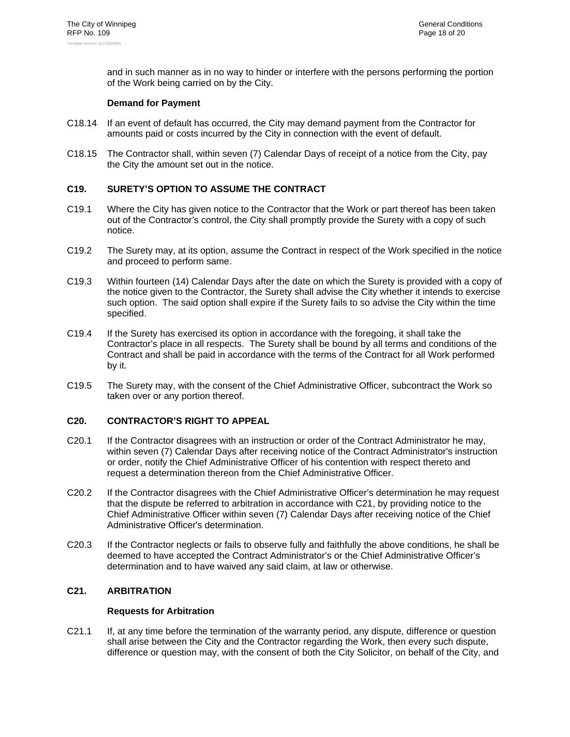and in such manner as in no way to hinder or interfere with the persons performing the portion of the Work being carried on by the City.

## **Demand for Payment**

- C18.14 If an event of default has occurred, the City may demand payment from the Contractor for amounts paid or costs incurred by the City in connection with the event of default.
- C18.15 The Contractor shall, within seven (7) Calendar Days of receipt of a notice from the City, pay the City the amount set out in the notice.

## **C19. SURETY'S OPTION TO ASSUME THE CONTRACT**

- C19.1 Where the City has given notice to the Contractor that the Work or part thereof has been taken out of the Contractor's control, the City shall promptly provide the Surety with a copy of such notice.
- C19.2 The Surety may, at its option, assume the Contract in respect of the Work specified in the notice and proceed to perform same.
- C19.3 Within fourteen (14) Calendar Days after the date on which the Surety is provided with a copy of the notice given to the Contractor, the Surety shall advise the City whether it intends to exercise such option. The said option shall expire if the Surety fails to so advise the City within the time specified.
- C19.4 If the Surety has exercised its option in accordance with the foregoing, it shall take the Contractor's place in all respects. The Surety shall be bound by all terms and conditions of the Contract and shall be paid in accordance with the terms of the Contract for all Work performed by it.
- C19.5 The Surety may, with the consent of the Chief Administrative Officer, subcontract the Work so taken over or any portion thereof.

## **C20. CONTRACTOR'S RIGHT TO APPEAL**

- C20.1 If the Contractor disagrees with an instruction or order of the Contract Administrator he may, within seven (7) Calendar Days after receiving notice of the Contract Administrator's instruction or order, notify the Chief Administrative Officer of his contention with respect thereto and request a determination thereon from the Chief Administrative Officer.
- C20.2 If the Contractor disagrees with the Chief Administrative Officer's determination he may request that the dispute be referred to arbitration in accordance with C21, by providing notice to the Chief Administrative Officer within seven (7) Calendar Days after receiving notice of the Chief Administrative Officer's determination.
- C20.3 If the Contractor neglects or fails to observe fully and faithfully the above conditions, he shall be deemed to have accepted the Contract Administrator's or the Chief Administrative Officer's determination and to have waived any said claim, at law or otherwise.

#### **C21. ARBITRATION**

#### **Requests for Arbitration**

C21.1 If, at any time before the termination of the warranty period, any dispute, difference or question shall arise between the City and the Contractor regarding the Work, then every such dispute, difference or question may, with the consent of both the City Solicitor, on behalf of the City, and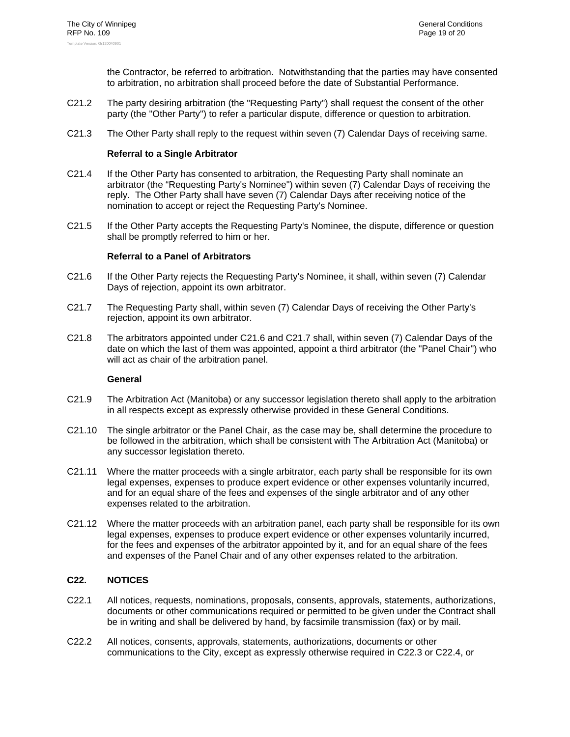the Contractor, be referred to arbitration. Notwithstanding that the parties may have consented to arbitration, no arbitration shall proceed before the date of Substantial Performance.

- C21.2 The party desiring arbitration (the "Requesting Party") shall request the consent of the other party (the "Other Party") to refer a particular dispute, difference or question to arbitration.
- C21.3 The Other Party shall reply to the request within seven (7) Calendar Days of receiving same.

#### **Referral to a Single Arbitrator**

- C21.4 If the Other Party has consented to arbitration, the Requesting Party shall nominate an arbitrator (the "Requesting Party's Nominee") within seven (7) Calendar Days of receiving the reply. The Other Party shall have seven (7) Calendar Days after receiving notice of the nomination to accept or reject the Requesting Party's Nominee.
- C21.5 If the Other Party accepts the Requesting Party's Nominee, the dispute, difference or question shall be promptly referred to him or her.

#### **Referral to a Panel of Arbitrators**

- C21.6 If the Other Party rejects the Requesting Party's Nominee, it shall, within seven (7) Calendar Days of rejection, appoint its own arbitrator.
- C21.7 The Requesting Party shall, within seven (7) Calendar Days of receiving the Other Party's rejection, appoint its own arbitrator.
- C21.8 The arbitrators appointed under C21.6 and C21.7 shall, within seven (7) Calendar Days of the date on which the last of them was appointed, appoint a third arbitrator (the "Panel Chair") who will act as chair of the arbitration panel.

#### **General**

- C21.9 The Arbitration Act (Manitoba) or any successor legislation thereto shall apply to the arbitration in all respects except as expressly otherwise provided in these General Conditions.
- C21.10 The single arbitrator or the Panel Chair, as the case may be, shall determine the procedure to be followed in the arbitration, which shall be consistent with The Arbitration Act (Manitoba) or any successor legislation thereto.
- C21.11 Where the matter proceeds with a single arbitrator, each party shall be responsible for its own legal expenses, expenses to produce expert evidence or other expenses voluntarily incurred, and for an equal share of the fees and expenses of the single arbitrator and of any other expenses related to the arbitration.
- C21.12 Where the matter proceeds with an arbitration panel, each party shall be responsible for its own legal expenses, expenses to produce expert evidence or other expenses voluntarily incurred, for the fees and expenses of the arbitrator appointed by it, and for an equal share of the fees and expenses of the Panel Chair and of any other expenses related to the arbitration.

#### **C22. NOTICES**

- C22.1 All notices, requests, nominations, proposals, consents, approvals, statements, authorizations, documents or other communications required or permitted to be given under the Contract shall be in writing and shall be delivered by hand, by facsimile transmission (fax) or by mail.
- C22.2 All notices, consents, approvals, statements, authorizations, documents or other communications to the City, except as expressly otherwise required in C22.3 or C22.4, or